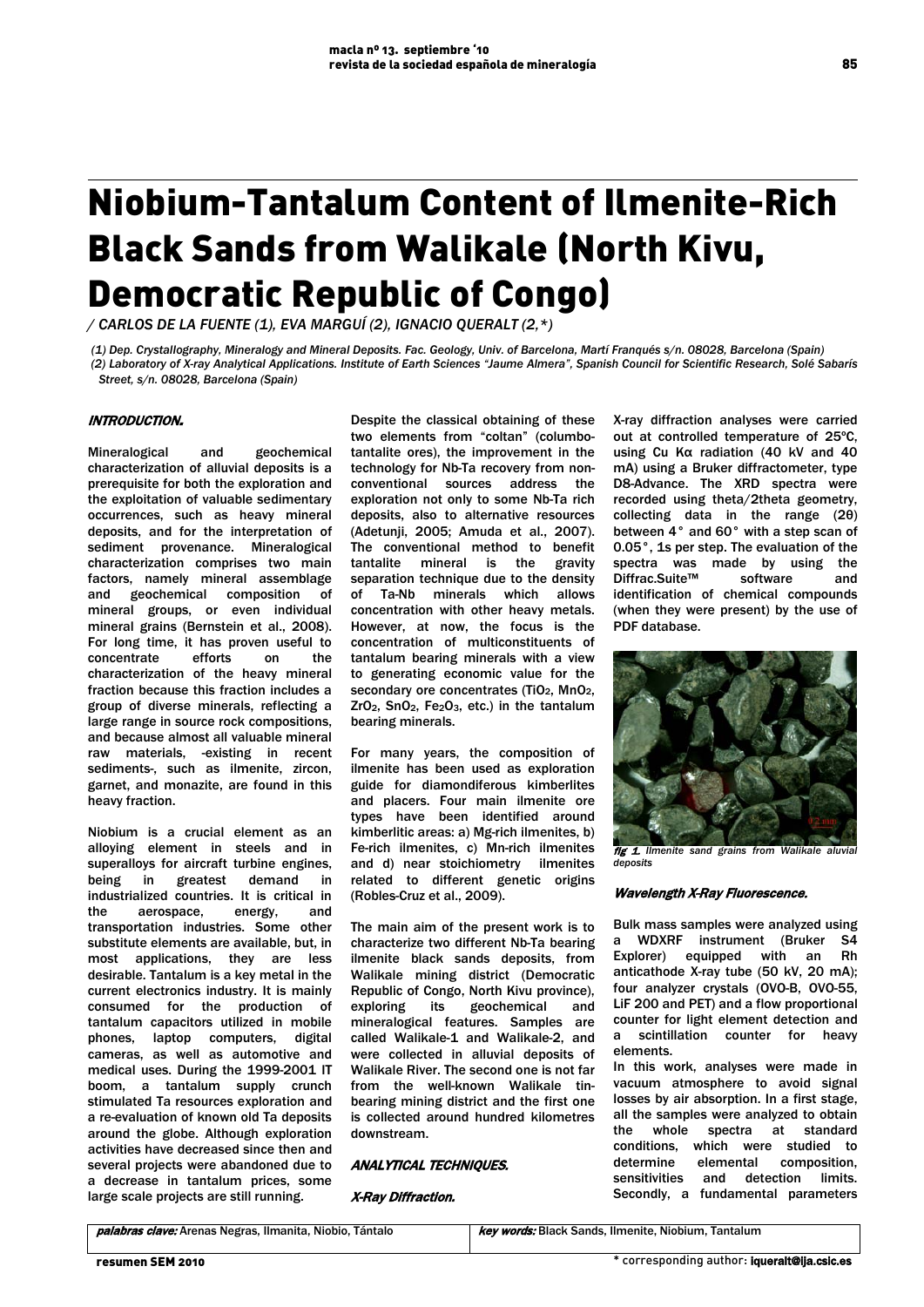# Niobium-Tantalum Content of Ilmenite-Rich Black Sands from Walikale (North Kivu, Democratic Republic of Congo)

*/ CARLOS DE LA FUENTE (1), EVA MARGUÍ (2), IGNACIO QUERALT (2,\*)*

*(1) Dep. Crystallography, Mineralogy and Mineral Deposits. Fac. Geology, Univ. of Barcelona, Martí Franqués s/n. 08028, Barcelona (Spain) (2) Laboratory of X-ray Analytical Applications. Institute of Earth Sciences "Jaume Almera", Spanish Council for Scientific Research, Solé Sabarís Street, s/n. 08028, Barcelona (Spain)*

## INTRODUCTION.

Mineralogical and geochemical characterization of alluvial deposits is a prerequisite for both the exploration and the exploitation of valuable sedimentary occurrences, such as heavy mineral deposits, and for the interpretation of sediment provenance. Mineralogical characterization comprises two main factors, namely mineral assemblage<br>and geochemical composition of and geochemical composition mineral groups, or even individual mineral grains (Bernstein et al., 2008). For long time, it has proven useful to concentrate efforts on the characterization of the heavy mineral fraction because this fraction includes a group of diverse minerals, reflecting a large range in source rock compositions, and because almost all valuable mineral raw materials, -existing in recent sediments-, such as ilmenite, zircon, garnet, and monazite, are found in this heavy fraction.

Niobium is a crucial element as an alloying element in steels and in superalloys for aircraft turbine engines. being in greatest demand in industrialized countries. It is critical in the aerospace, energy, and transportation industries. Some other substitute elements are available, but, in most applications, they are less desirable. Tantalum is a key metal in the current electronics industry. It is mainly consumed for the production of tantalum capacitors utilized in mobile phones, laptop computers, digital cameras, as well as automotive and medical uses. During the 1999-2001 IT boom, a tantalum supply crunch stimulated Ta resources exploration and a re-evaluation of known old Ta deposits around the globe. Although exploration activities have decreased since then and several projects were abandoned due to a decrease in tantalum prices, some large scale projects are still running.

Despite the classical obtaining of these two elements from "coltan" (columbotantalite ores), the improvement in the technology for Nb-Ta recovery from nonconventional sources address the exploration not only to some Nb-Ta rich deposits, also to alternative resources (Adetunji, 2005; Amuda et al., 2007). The conventional method to benefit tantalite mineral is the gravity separation technique due to the density of Ta-Nb minerals which allows concentration with other heavy metals. However, at now, the focus is the concentration of multiconstituents of tantalum bearing minerals with a view to generating economic value for the secondary ore concentrates (TiO<sub>2</sub>, MnO<sub>2</sub>, ZrO2, SnO2, Fe2O3, etc.) in the tantalum bearing minerals.

For many years, the composition of ilmenite has been used as exploration guide for diamondiferous kimberlites and placers. Four main ilmenite ore types have been identified around kimberlitic areas: a) Mg-rich ilmenites, b) Fe-rich ilmenites, c) Mn-rich ilmenites and d) near stoichiometry ilmenites related to different genetic origins (Robles-Cruz et al., 2009).

The main aim of the present work is to characterize two different Nb-Ta bearing ilmenite black sands deposits, from Walikale mining district (Democratic Republic of Congo, North Kivu province), exploring its geochemical and mineralogical features. Samples are called Walikale-1 and Walikale-2, and were collected in alluvial deposits of Walikale River. The second one is not far from the well-known Walikale tinbearing mining district and the first one is collected around hundred kilometres downstream.

## ANALYTICAL TECHNIQUES.

## X-Ray Diffraction.

X-ray diffraction analyses were carried out at controlled temperature of 25ºC, using Cu Kα radiation (40 kV and 40 mA) using a Bruker diffractometer, type D8-Advance. The XRD spectra were recorded using theta/2theta geometry, collecting data in the range (2θ) between 4° and 60° with a step scan of 0.05°, 1s per step. The evaluation of the spectra was made by using the Diffrac.Suite™ software and identification of chemical compounds (when they were present) by the use of PDF database.



fig 1. *Ilmenite sand grains from Walikale aluvial deposits*

### Wavelength X-Ray Fluorescence.

Bulk mass samples were analyzed using a WDXRF instrument (Bruker S4 Explorer) equipped with an Rh anticathode X-ray tube (50 kV, 20 mA); four analyzer crystals (OVO-B, OVO-55, LiF 200 and PET) and a flow proportional counter for light element detection and a scintillation counter for heavy elements.

In this work, analyses were made in vacuum atmosphere to avoid signal losses by air absorption. In a first stage, all the samples were analyzed to obtain the whole spectra at standard conditions, which were studied to determine elemental composition,<br>sensitivities and detection limits and detection limits. Secondly, a fundamental parameters

85

palabras clave: Arenas Negras, Ilmanita, Niobio, Tántalo **key words:** Black Sands, Ilmenite, Niobium, Tantalum